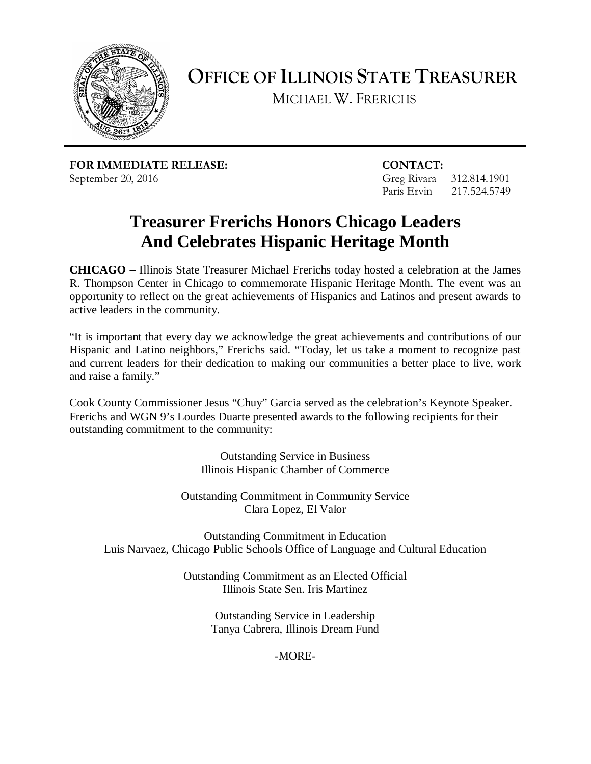

**OFFICE OF ILLINOIS STATE TREASURER**

MICHAEL W. FRERICHS

**FOR IMMEDIATE RELEASE: CONTACT:**  September 20, 2016 Greg Rivara 312.814.1901

Paris Ervin 217.524.5749

## **Treasurer Frerichs Honors Chicago Leaders And Celebrates Hispanic Heritage Month**

**CHICAGO –** Illinois State Treasurer Michael Frerichs today hosted a celebration at the James R. Thompson Center in Chicago to commemorate Hispanic Heritage Month. The event was an opportunity to reflect on the great achievements of Hispanics and Latinos and present awards to active leaders in the community.

"It is important that every day we acknowledge the great achievements and contributions of our Hispanic and Latino neighbors," Frerichs said. "Today, let us take a moment to recognize past and current leaders for their dedication to making our communities a better place to live, work and raise a family."

Cook County Commissioner Jesus "Chuy" Garcia served as the celebration's Keynote Speaker. Frerichs and WGN 9's Lourdes Duarte presented awards to the following recipients for their outstanding commitment to the community:

> Outstanding Service in Business Illinois Hispanic Chamber of Commerce

Outstanding Commitment in Community Service Clara Lopez, El Valor

Outstanding Commitment in Education Luis Narvaez, Chicago Public Schools Office of Language and Cultural Education

> Outstanding Commitment as an Elected Official Illinois State Sen. Iris Martinez

> > Outstanding Service in Leadership Tanya Cabrera, Illinois Dream Fund

> > > -MORE-